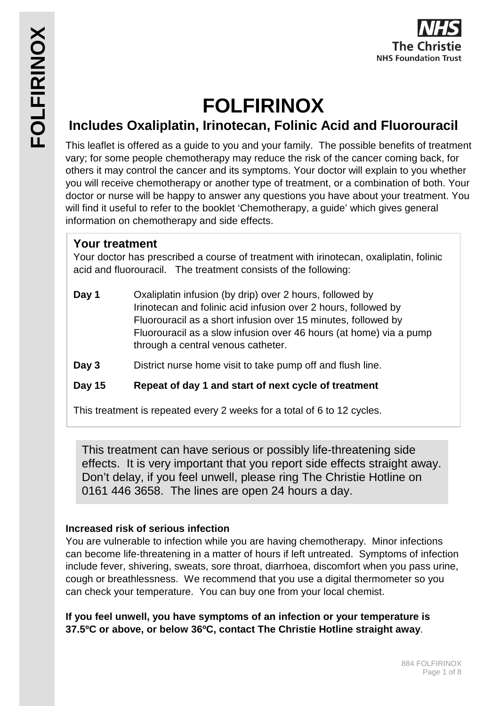

# **FOLFIRINOX**

# **Includes Oxaliplatin, Irinotecan, Folinic Acid and Fluorouracil**

This leaflet is offered as a guide to you and your family. The possible benefits of treatment vary; for some people chemotherapy may reduce the risk of the cancer coming back, for others it may control the cancer and its symptoms. Your doctor will explain to you whether you will receive chemotherapy or another type of treatment, or a combination of both. Your doctor or nurse will be happy to answer any questions you have about your treatment. You will find it useful to refer to the booklet 'Chemotherapy, a guide' which gives general information on chemotherapy and side effects.

## **Your treatment**

Your doctor has prescribed a course of treatment with irinotecan, oxaliplatin, folinic acid and fluorouracil. The treatment consists of the following:

**Day 1** Oxaliplatin infusion (by drip) over 2 hours, followed by Irinotecan and folinic acid infusion over 2 hours, followed by Fluorouracil as a short infusion over 15 minutes, followed by Fluorouracil as a slow infusion over 46 hours (at home) via a pump through a central venous catheter.

**Day 3** District nurse home visit to take pump off and flush line.

### **Day 15 Repeat of day 1 and start of next cycle of treatment**

This treatment is repeated every 2 weeks for a total of 6 to 12 cycles.

This treatment can have serious or possibly life-threatening side effects. It is very important that you report side effects straight away. Don't delay, if you feel unwell, please ring The Christie Hotline on 0161 446 3658. The lines are open 24 hours a day.

### **Increased risk of serious infection**

You are vulnerable to infection while you are having chemotherapy. Minor infections can become life-threatening in a matter of hours if left untreated. Symptoms of infection include fever, shivering, sweats, sore throat, diarrhoea, discomfort when you pass urine, cough or breathlessness. We recommend that you use a digital thermometer so you can check your temperature. You can buy one from your local chemist.

**If you feel unwell, you have symptoms of an infection or your temperature is 37.5ºC or above, or below 36ºC, contact The Christie Hotline straight away**.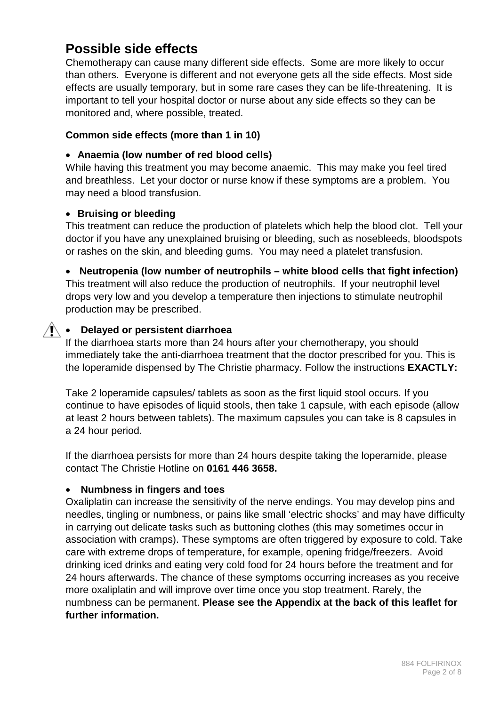# **Possible side effects**

Chemotherapy can cause many different side effects. Some are more likely to occur than others. Everyone is different and not everyone gets all the side effects. Most side effects are usually temporary, but in some rare cases they can be life-threatening. It is important to tell your hospital doctor or nurse about any side effects so they can be monitored and, where possible, treated.

#### **Common side effects (more than 1 in 10)**

#### • **Anaemia (low number of red blood cells)**

While having this treatment you may become anaemic. This may make you feel tired and breathless. Let your doctor or nurse know if these symptoms are a problem. You may need a blood transfusion.

#### • **Bruising or bleeding**

This treatment can reduce the production of platelets which help the blood clot. Tell your doctor if you have any unexplained bruising or bleeding, such as nosebleeds, bloodspots or rashes on the skin, and bleeding gums. You may need a platelet transfusion.

#### • **Neutropenia (low number of neutrophils – white blood cells that fight infection)**

This treatment will also reduce the production of neutrophils. If your neutrophil level drops very low and you develop a temperature then injections to stimulate neutrophil production may be prescribed.

#### • **Delayed or persistent diarrhoea**

If the diarrhoea starts more than 24 hours after your chemotherapy, you should immediately take the anti-diarrhoea treatment that the doctor prescribed for you. This is the loperamide dispensed by The Christie pharmacy. Follow the instructions **EXACTLY:** 

Take 2 loperamide capsules/ tablets as soon as the first liquid stool occurs. If you continue to have episodes of liquid stools, then take 1 capsule, with each episode (allow at least 2 hours between tablets). The maximum capsules you can take is 8 capsules in a 24 hour period.

If the diarrhoea persists for more than 24 hours despite taking the loperamide, please contact The Christie Hotline on **0161 446 3658.** 

#### • **Numbness in fingers and toes**

Oxaliplatin can increase the sensitivity of the nerve endings. You may develop pins and needles, tingling or numbness, or pains like small 'electric shocks' and may have difficulty in carrying out delicate tasks such as buttoning clothes (this may sometimes occur in association with cramps). These symptoms are often triggered by exposure to cold. Take care with extreme drops of temperature, for example, opening fridge/freezers. Avoid drinking iced drinks and eating very cold food for 24 hours before the treatment and for 24 hours afterwards. The chance of these symptoms occurring increases as you receive more oxaliplatin and will improve over time once you stop treatment. Rarely, the numbness can be permanent. **Please see the Appendix at the back of this leaflet for further information.**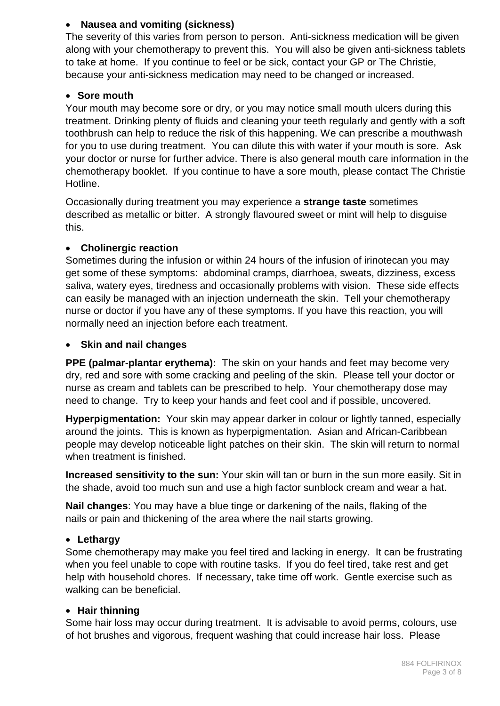#### • **Nausea and vomiting (sickness)**

The severity of this varies from person to person. Anti-sickness medication will be given along with your chemotherapy to prevent this. You will also be given anti-sickness tablets to take at home. If you continue to feel or be sick, contact your GP or The Christie, because your anti-sickness medication may need to be changed or increased.

#### • **Sore mouth**

Your mouth may become sore or dry, or you may notice small mouth ulcers during this treatment. Drinking plenty of fluids and cleaning your teeth regularly and gently with a soft toothbrush can help to reduce the risk of this happening. We can prescribe a mouthwash for you to use during treatment. You can dilute this with water if your mouth is sore. Ask your doctor or nurse for further advice. There is also general mouth care information in the chemotherapy booklet. If you continue to have a sore mouth, please contact The Christie Hotline.

Occasionally during treatment you may experience a **strange taste** sometimes described as metallic or bitter. A strongly flavoured sweet or mint will help to disguise this.

#### • **Cholinergic reaction**

Sometimes during the infusion or within 24 hours of the infusion of irinotecan you may get some of these symptoms: abdominal cramps, diarrhoea, sweats, dizziness, excess saliva, watery eyes, tiredness and occasionally problems with vision. These side effects can easily be managed with an injection underneath the skin. Tell your chemotherapy nurse or doctor if you have any of these symptoms. If you have this reaction, you will normally need an injection before each treatment.

#### • **Skin and nail changes**

**PPE (palmar-plantar erythema):** The skin on your hands and feet may become very dry, red and sore with some cracking and peeling of the skin. Please tell your doctor or nurse as cream and tablets can be prescribed to help. Your chemotherapy dose may need to change. Try to keep your hands and feet cool and if possible, uncovered.

**Hyperpigmentation:** Your skin may appear darker in colour or lightly tanned, especially around the joints. This is known as hyperpigmentation. Asian and African-Caribbean people may develop noticeable light patches on their skin. The skin will return to normal when treatment is finished.

**Increased sensitivity to the sun:** Your skin will tan or burn in the sun more easily. Sit in the shade, avoid too much sun and use a high factor sunblock cream and wear a hat.

**Nail changes**: You may have a blue tinge or darkening of the nails, flaking of the nails or pain and thickening of the area where the nail starts growing.

#### • **Lethargy**

Some chemotherapy may make you feel tired and lacking in energy. It can be frustrating when you feel unable to cope with routine tasks. If you do feel tired, take rest and get help with household chores. If necessary, take time off work. Gentle exercise such as walking can be beneficial.

#### • **Hair thinning**

Some hair loss may occur during treatment. It is advisable to avoid perms, colours, use of hot brushes and vigorous, frequent washing that could increase hair loss. Please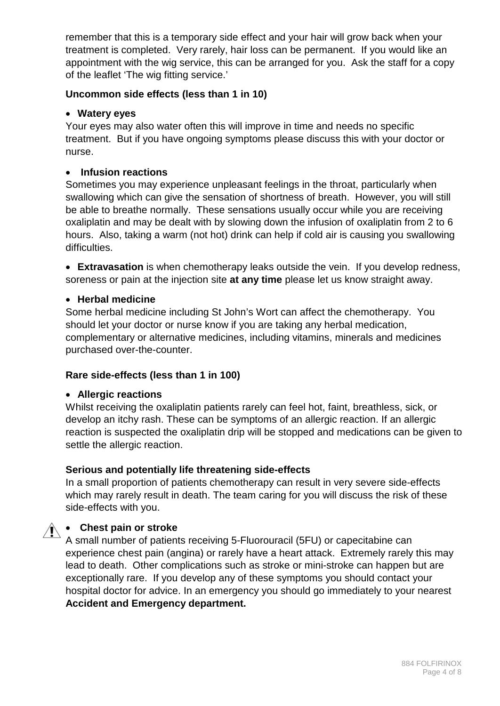remember that this is a temporary side effect and your hair will grow back when your treatment is completed. Very rarely, hair loss can be permanent. If you would like an appointment with the wig service, this can be arranged for you. Ask the staff for a copy of the leaflet 'The wig fitting service.'

#### **Uncommon side effects (less than 1 in 10)**

#### • **Watery eyes**

Your eyes may also water often this will improve in time and needs no specific treatment. But if you have ongoing symptoms please discuss this with your doctor or nurse.

#### • **Infusion reactions**

Sometimes you may experience unpleasant feelings in the throat, particularly when swallowing which can give the sensation of shortness of breath. However, you will still be able to breathe normally. These sensations usually occur while you are receiving oxaliplatin and may be dealt with by slowing down the infusion of oxaliplatin from 2 to 6 hours. Also, taking a warm (not hot) drink can help if cold air is causing you swallowing difficulties.

• **Extravasation** is when chemotherapy leaks outside the vein. If you develop redness, soreness or pain at the injection site **at any time** please let us know straight away.

#### • **Herbal medicine**

Some herbal medicine including St John's Wort can affect the chemotherapy. You should let your doctor or nurse know if you are taking any herbal medication, complementary or alternative medicines, including vitamins, minerals and medicines purchased over-the-counter.

#### **Rare side-effects (less than 1 in 100)**

#### • **Allergic reactions**

Whilst receiving the oxaliplatin patients rarely can feel hot, faint, breathless, sick, or develop an itchy rash. These can be symptoms of an allergic reaction. If an allergic reaction is suspected the oxaliplatin drip will be stopped and medications can be given to settle the allergic reaction.

#### **Serious and potentially life threatening side-effects**

In a small proportion of patients chemotherapy can result in very severe side-effects which may rarely result in death. The team caring for you will discuss the risk of these side-effects with you.

# **1 • Chest pain or stroke**

A small number of patients receiving 5-Fluorouracil (5FU) or capecitabine can experience chest pain (angina) or rarely have a heart attack. Extremely rarely this may lead to death. Other complications such as stroke or mini-stroke can happen but are exceptionally rare. If you develop any of these symptoms you should contact your hospital doctor for advice. In an emergency you should go immediately to your nearest **Accident and Emergency department.**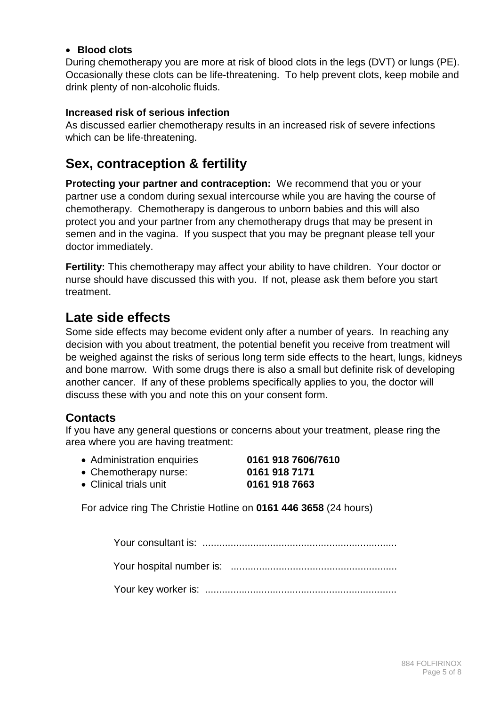#### • **Blood clots**

During chemotherapy you are more at risk of blood clots in the legs (DVT) or lungs (PE). Occasionally these clots can be life-threatening. To help prevent clots, keep mobile and drink plenty of non-alcoholic fluids.

#### **Increased risk of serious infection**

As discussed earlier chemotherapy results in an increased risk of severe infections which can be life-threatening.

### **Sex, contraception & fertility**

**Protecting your partner and contraception:** We recommend that you or your partner use a condom during sexual intercourse while you are having the course of chemotherapy. Chemotherapy is dangerous to unborn babies and this will also protect you and your partner from any chemotherapy drugs that may be present in semen and in the vagina. If you suspect that you may be pregnant please tell your doctor immediately.

**Fertility:** This chemotherapy may affect your ability to have children. Your doctor or nurse should have discussed this with you. If not, please ask them before you start treatment.

### **Late side effects**

Some side effects may become evident only after a number of years. In reaching any decision with you about treatment, the potential benefit you receive from treatment will be weighed against the risks of serious long term side effects to the heart, lungs, kidneys and bone marrow. With some drugs there is also a small but definite risk of developing another cancer. If any of these problems specifically applies to you, the doctor will discuss these with you and note this on your consent form.

#### **Contacts**

If you have any general questions or concerns about your treatment, please ring the area where you are having treatment:

|  | • Administration enquiries | 0161 918 7606/7610 |
|--|----------------------------|--------------------|
|--|----------------------------|--------------------|

| • Chemotherapy nurse:                                                                                         | 0161 918 7171 |
|---------------------------------------------------------------------------------------------------------------|---------------|
| $\bigcap$ $\bigcup_{i=1}^{n}$ $\bigcup_{i=1}^{n}$ $\bigcup_{i=1}^{n}$ $\bigcup_{i=1}^{n}$ $\bigcup_{i=1}^{n}$ | AIRI AIR 7000 |

• Clinical trials unit **0161 918 7663**

For advice ring The Christie Hotline on **0161 446 3658** (24 hours)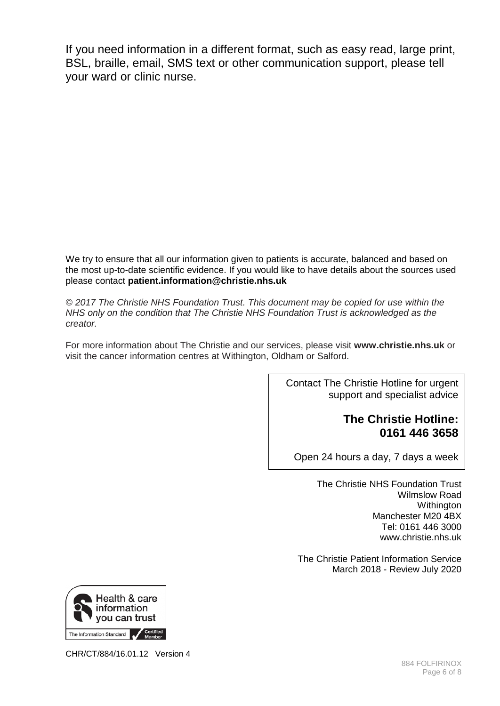If you need information in a different format, such as easy read, large print, BSL, braille, email, SMS text or other communication support, please tell your ward or clinic nurse.

We try to ensure that all our information given to patients is accurate, balanced and based on the most up-to-date scientific evidence. If you would like to have details about the sources used please contact **patient.information@christie.nhs.uk** 

*© 2017 The Christie NHS Foundation Trust. This document may be copied for use within the NHS only on the condition that The Christie NHS Foundation Trust is acknowledged as the creator.* 

For more information about The Christie and our services, please visit **www.christie.nhs.uk** or visit the cancer information centres at Withington, Oldham or Salford.

> Contact The Christie Hotline for urgent support and specialist advice

### **The Christie Hotline: 0161 446 3658**

Open 24 hours a day, 7 days a week

The Christie NHS Foundation Trust Wilmslow Road **Withington** Manchester M20 4BX Tel: 0161 446 3000 www.christie.nhs.uk

The Christie Patient Information Service March 2018 - Review July 2020



CHR/CT/884/16.01.12 Version 4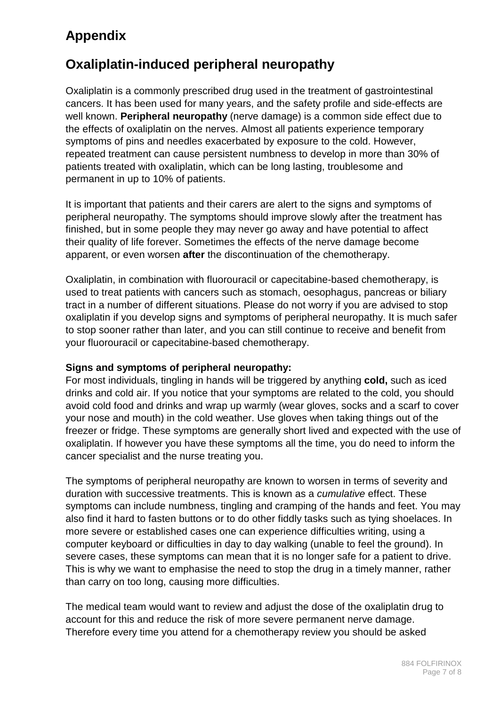# **Appendix**

# **Oxaliplatin-induced peripheral neuropathy**

Oxaliplatin is a commonly prescribed drug used in the treatment of gastrointestinal cancers. It has been used for many years, and the safety profile and side-effects are well known. **Peripheral neuropathy** (nerve damage) is a common side effect due to the effects of oxaliplatin on the nerves. Almost all patients experience temporary symptoms of pins and needles exacerbated by exposure to the cold. However, repeated treatment can cause persistent numbness to develop in more than 30% of patients treated with oxaliplatin, which can be long lasting, troublesome and permanent in up to 10% of patients.

It is important that patients and their carers are alert to the signs and symptoms of peripheral neuropathy. The symptoms should improve slowly after the treatment has finished, but in some people they may never go away and have potential to affect their quality of life forever. Sometimes the effects of the nerve damage become apparent, or even worsen **after** the discontinuation of the chemotherapy.

Oxaliplatin, in combination with fluorouracil or capecitabine-based chemotherapy, is used to treat patients with cancers such as stomach, oesophagus, pancreas or biliary tract in a number of different situations. Please do not worry if you are advised to stop oxaliplatin if you develop signs and symptoms of peripheral neuropathy. It is much safer to stop sooner rather than later, and you can still continue to receive and benefit from your fluorouracil or capecitabine-based chemotherapy.

#### **Signs and symptoms of peripheral neuropathy:**

For most individuals, tingling in hands will be triggered by anything **cold,** such as iced drinks and cold air. If you notice that your symptoms are related to the cold, you should avoid cold food and drinks and wrap up warmly (wear gloves, socks and a scarf to cover your nose and mouth) in the cold weather. Use gloves when taking things out of the freezer or fridge. These symptoms are generally short lived and expected with the use of oxaliplatin. If however you have these symptoms all the time, you do need to inform the cancer specialist and the nurse treating you.

The symptoms of peripheral neuropathy are known to worsen in terms of severity and duration with successive treatments. This is known as a *cumulative* effect. These symptoms can include numbness, tingling and cramping of the hands and feet. You may also find it hard to fasten buttons or to do other fiddly tasks such as tying shoelaces. In more severe or established cases one can experience difficulties writing, using a computer keyboard or difficulties in day to day walking (unable to feel the ground). In severe cases, these symptoms can mean that it is no longer safe for a patient to drive. This is why we want to emphasise the need to stop the drug in a timely manner, rather than carry on too long, causing more difficulties.

The medical team would want to review and adjust the dose of the oxaliplatin drug to account for this and reduce the risk of more severe permanent nerve damage. Therefore every time you attend for a chemotherapy review you should be asked